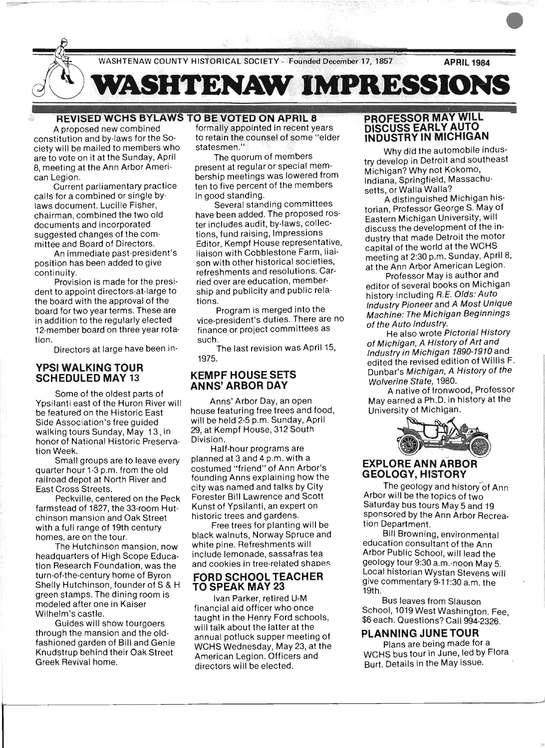

#### **REVISED WCHS BYLAWS TO BE VOTED ON APRIL 8**

A proposed new combined constitution and by·laws for the So· ciety will be mailed to members who are to vote on it at the Sunday, April 8, meeting at the Ann Arbor Ameri· can Legion.

Current parliamentary practice calls for a combined or single by· laws document. Lucille Fisher, chairman, combined the two old documents and incorporated suggested changes of the com· mittee and Board of Directors.

An immediate past·president's position has been added to give continuity.

Provision is made for the presi· dent to appoint directors·at·large to the board with the approval of the board for two year terms. These are in addition to the regularly elected 12-member board on three year rotation.

Directors at large have been in-

#### **YPSI WALKING TOUR SCHEDULED MAY 13**

Some of the oldest parts of Ypsilanti east of the Huron River will be featured on the Historic East Side Association's free guided walking tours Sunday, May 13, in honor of National Historic Preservation Week.

Small groups are to leave every quarter hour 1-3 p.m. from the old railroad depot at North River and East Cross Streets.

Peckville, centered on the Peck farmstead of 1827, the 33-room Hutchinson mansion and Oak Street with a full range of 19th century homes, are on the tour.

The Hutchinson mansion, now headquarters of High Scope Education Research Foundation, was the turn-of-the-century home of Byron Shelly Hutchinson, founder of S & H green stamps. The dining room is modeled after one in Kaiser Wilhelm's castle.

Guides will show tourgoers through the mansion and the oldfashioned garden of Bill and Genie Knudstrup behind their Oak Street Greek Revival home.

formally appointed in recent years to retain the counsel of some "elder statesmen."

The quorum of members present at regular or special membership meetings was lowered from ten to five percent of the members in good standing.

Several standing committees have been added. The proposed roster includes audit, by-laws, collections, fund raising, Impressions Editor, Kempf House representative, liaison with Cobblestone Farm, liaison with other historical societies, refreshments and resolutions. Carried over are education, membership and publicity and public relations.

Program is merged into the vice-president's duties. There are no finance or project committees as such.

The last revision was April 15, 1975.

#### **KEMPF HOUSE SETS ANNS' ARBOR DAY**

Anns' Arbor Day, an open house featuring free trees and food, will be held 2-5 p.m. Sunday, April 29, at Kempf House, 312 South Division.

Half-hour programs are planned at 3 and 4 p.m. with a costumed "friend" of Ann Arbor's founding Anns explaining how the city was named and talks by City Forester Bill Lawrence and Scott Kunst of Ypsilanti, an expert on historic trees and gardens.

Free trees for planting will be black walnuts, Norway Spruce and white pine. Refreshments will include lemonade, sassafras tea and cookies in tree-related shapes

#### FORD SCHOOLTEACHER **TO SPEAK MAY 23**

Ivan Parker, retired U-M financial aid officer who once taught in the Henry Ford schools, will talk about the latter at the annual potluck supper meeting of WCHS Wednesday, May 23, at the American Legion. Officers and directors will be elected.

#### **PROFESSOR MAY WILL DISCUSS EARLY AUTO INDUSTRY IN MICHIGAN**

Why did the automobile industry develop in Detroit and southeast Michigan? Why not Kokomo, Indiana, Springfield, Massachusetts, or Walla Walla?

A distinguished Michigan historian, Professor George S. May of Eastern Michigan University, will discuss the development of the industry that made Detroit the motor capital of the world at the WCHS meeting at 2:30 p.m. Sunday, April 8, at the Ann Arbor American Legion.

Professor May is author and editor of several books on Michigan history including R.E. Olds: Auto Industry Pioneer and A Most Unique Machine: The Michigan Beginnings of the Auto Industry.

He also wrote Pictorial History of Michigan, A History of Art and Industry in Michigan 1890-1910 and edited the revised edition of Willis F. Dunbar's Michigan, A History of the Wolverine State, 1980.

A native of Ironwood, Professor May earned a Ph.D. in history at the University of Michigan.



#### **EXPLORE ANN ARBOR GEOLOGY, HISTORY**

The geology and history of Ann Arbor Will be the topics of two Saturday bus tours May 5 and 19 sponsored by the Ann Arbor Recreation Department.

Bill Browning, environmental education consultant of the Ann Arbor Public School, will lead the geology tour 9:30 a.m.-noon May 5. Local historian Wystan Stevens will give commentary 9-11 :30 a.m. the 19th.

Bus leaves from Slauson School, 1019 West Washington. Fee, \$6 each. Questions? Call 994-2326.

# **PLANNING JUNE TOUR**

Plans are being made for a WCHS bus tour in June, led by Flora: Burt. Details in the May issue.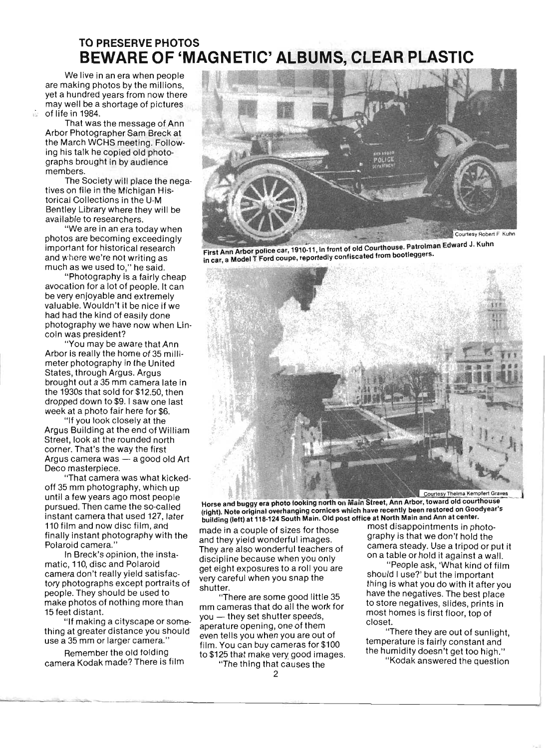# TO PRESERVE PHOTOS **BEWARE OF 'MAGNETIC' ALBUMS, CLEAR PLASTIC**

We live in an era when people are making photos by the millions, yet a hundred years from now there may well be a shortage of pictures  $\approx$  of life in 1984.

That was the message of Ann Arbor Photographer Sam Breck at the March WCHS meeting. Following his talk he copied old photographs brought in by audience members.

The Society will place the negatives on file in the Michigan Historical Collections in the U-M Bentley Library where they will be available to researchers.

"We are in an era today when photos are becoming exceedingly important for historical research and where we're not writing as much as we used to," he said.

"Photography is a fairly cheap avocation for a lot of people. It can be very enjoyable and extremely valuable. Wouldn't it be nice if we had had the kind of easily done photography we have now when lincoln was president?

"You may be aware that Ann Arbor is really the home of 35 millimeter photography in the United States, through Argus. Argus brought out a 35 mm camera late in the 1930s that sold for \$12.50, then dropped down to \$9. I saw one last week at a photo fair here for \$6.

"If you look closely at the Argus Building at the end of William Street, look at the rounded north corner. That's the way the first Argus camera was  $-$  a good old Art Deco masterpiece.

"That camera was what kickedoff 35 mm photography, which up until a few years ago most people pursued. Then came the so-called instant camera that used 127, later 110 film and now disc film, and finally instant photography with the Polaroid camera."

In Breck's opinion, the instamatic, 110, disc and Polaroid camera don't really yield satisfactory photographs except portraits of . people. They should be used to make photos of nothing more. than 15 feet distant.

"If making a cityscape or something at greater distance you should use a 35 mm or larger camera."

Remember the old folding camera Kodak made? There is film



First Ann Arbor police car, 1910-11, in front of old Courthouse. Patrolman Edward J. Kuhn in car, a Model T Ford coupe, reportedly confiscated from bootleggers.



Horse and buggy era photo looking north on Main Street, Ann Arbor, toward old courthouse (right). Note original overhanging cornices which have recently been restored on Goodyear's building (left) at 118·124 South Main. Old post office at North Main and Ann at center.

and they yield wonderful images. graphy is that we don't hold the discipline because when you only on a table or hold it against a wall. get eight exposures to a roll you are "People ask, 'What kind of film" you eight exposures to a follow are should I use?' but the important<br>very careful when you snap the

mm cameras that do all the work for to store negatives, slides, prints in you — they set shutter speeds, aperature opening, one of them closet. even tells you when you are out of "There they are out of sunlight, Film. You can buy cameras for  $$100$  temperature is fairly constant and  $\frac{1}{100}$ 

The thing that causes the

most disappointments in photo-<br>made in a couple of sizes for those  $\frac{1}{2}$  most disappointments in photo-They are also wonderful teachers of camera steady. Use a tripod or put it

shutter. Shutter you shap the thing is what you do with it after you "There are some good little 35 have the negatives. The best place

the humidity doesn't get too high."<br>to \$125 that make very good images.  $\frac{1}{2}$  the humidity doesn't get too high."

"Kodak answered the question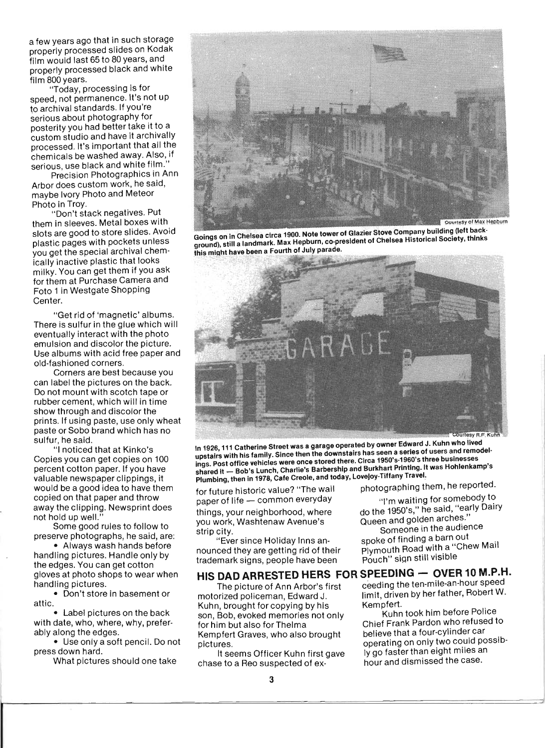a few years ago that in such storage properly processed slides on Kodak film would last 65 to 80 years, and properly processed black and white film 800 years.

"Today, processing is for speed, not permanence. It's not up to archival standards. If you're serious about photography for posterity you had better take it to a custom studio and have it archivally processed. It's important that all the chemicals be washed away. Also, if serious, use black and white film.

Precision Photographics in Ann Arbor does custom work, he said, maybe Ivory Photo and Meteor Photo in Troy.

"Don't stack negatives. Put them in sleeves. Metal boxes with slots are good to store slides. Avoid plastic pages with pockets unless you get the special archival chemically inactive plastic that looks milky. You can get them if you ask for them at Purchase Camera and Foto 1 in Westgate Shopping Center.

"Get rid of 'magnetic' albums. There is sulfur in the glue which will eventually interact with the photo emulsion and discolor the picture. Use albums with acid free paper and old-fashioned corners.

Corners are best because you can label the pictures on the back. Do not mount with scotch tape or rubber cement, which will in time show through and discolor the prints. If using paste, use only wheat paste or Sobo brand which has no sulfur, he said.

"I noticed that at Kinko's Copies you can get copies on 100 percent cotton paper. If you have valuable newspaper clippings, it would be a good idea to have them copied on that paper and throw away the clipping. Newsprint does not hold up well."

Some good rules to follow to preserve photographs, he said, are:

• Always wash hands before handling pictures. Handle only by the edges. You can get cotton gloves at photo shops to wear when handling pictures.

• Don't store in basement or attic.

• Label pictures on the back with date, who, where, why, preferably along the edges.

• Use only a soft pencil. Do not press down hard.

What pictures should one take



Goings on in Chelsea circa 1900. Note tower of Glazier Stove Company building (left background), still a landmark. Max Hepburn, co-president of Chelsea Historical Society, thinks this might have been a Fourth of July parade.



In 1926, 111 Catherine Street was a garage operated by owner Edward J. Kuhn who lived upstairs with his family. Since then the downstairs has seen a series of users and remodel· ings. Post office vehicles were once stored there. Circa 1950'5·1960'5 three businesses shared it \_ Bob's Lunch, Charlie's Barbership and Burkhart Printing. It was Hohlenkamp's Plumbing, then in 1978, Cafe Creole, and today, Lovejoy-Tiffany Travel:

for future historic value? "The wall photographing them, he reported.<br>paper of life — common everyday him waiting for somebody to paper of life - common everyday

you work, Washtenaw Avenue's strip city. **Someone** in the audience in the audience

nounced they are getting rid of their Plymouth Road with a "Chew Mail"<br>trademark signs, people have been Pouch" sign still visible trademark signs, people have been

# HIS DAD ARRESTED HERS FOR SPEEDING - OVER 10 M.P.H.

Kuhn, brought for copying by his Kempfert.<br>son, Bob, evoked memories not only Kuhn took him before Police son, Bob, evoked memories not only for him but also forThelma Chief Frank Pardon who refused to Kempfert Graves, who also brought believe that a four-cylinder car pictures. **only two could possib-**<br>operating on only two could possib-

chase to a Reo suspected of ex- hour and dismissed the case.

things, your neighborhood, where do the 1950's," he said, "early Dairy"<br>you work, Washtenaw Avenue's do the 1950's," he said, "early Dairy"

"Ever since Holiday Inns an- spoke of finding a barn out .

The picture of Ann Arbor's first ceeding the ten-mile-an-hour speed motorized policeman, Edward J. limit, driven by her father, Robert W.

It seems Officer Kuhn first gave Iy go faster than eight miles an